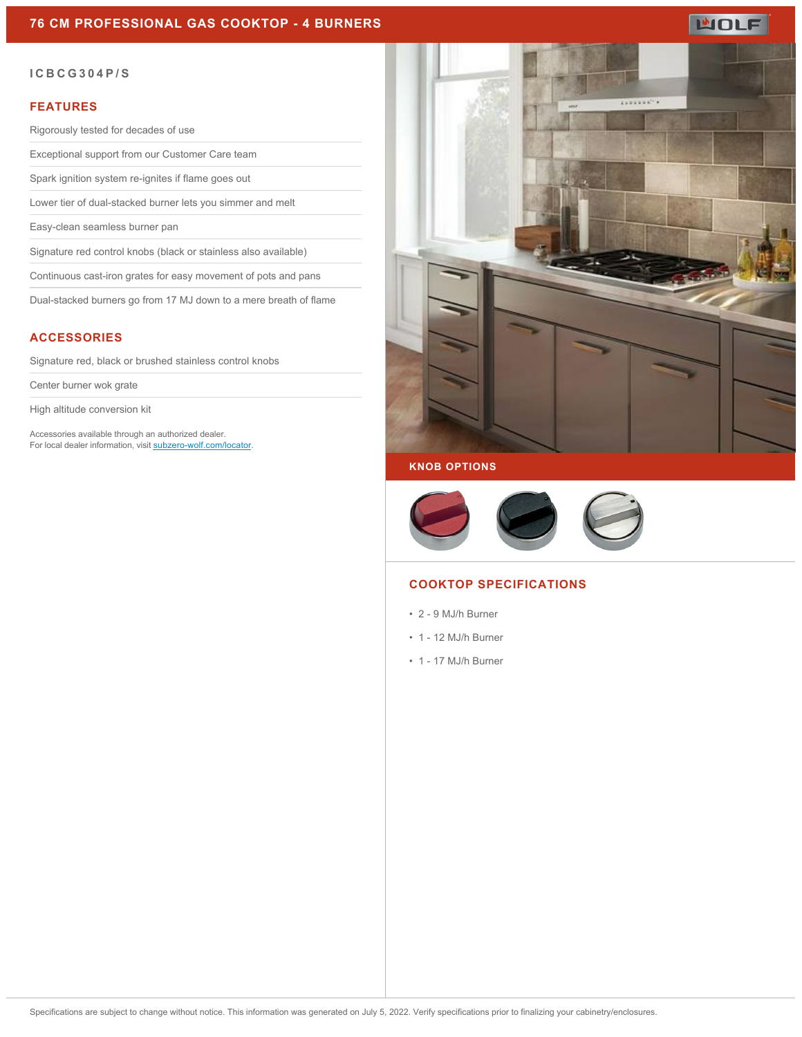## **76 CM PROFESSIONAL GAS COOKTOP - 4 BURNERS**

# **MOLF**

### **ICBCG304P/S**

### **FEATURES**

Rigorously tested for decades of use

Exceptional support from our Customer Care team

Spark ignition system re-ignites if flame goes out

Lower tier of dual-stacked burner lets you simmer and melt

Easy-clean seamless burner pan

Signature red control knobs (black or stainless also available)

Continuous cast-iron grates for easy movement of pots and pans

Dual-stacked burners go from 17 MJ down to a mere breath of flame

## **ACCESSORIES**

Signature red, black or brushed stainless control knobs

Center burner wok grate

High altitude conversion kit

Accessories available through an authorized dealer. For local dealer information, visit [subzero-wolf.com/locator.](http://www.subzero-wolf.com/locator)



### **KNOB OPTIONS**



## **COOKTOP SPECIFICATIONS**

- 2 9 MJ/h Burner
- 1 12 MJ/h Burner
- 1 17 MJ/h Burner